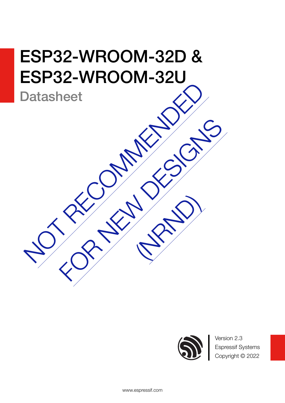# Datasheet<br>Datasheet<br>No. 25 MM 25 CM ESP32-WROOM-32D & ESP32-WROOM-32U

**Datasheet** 



Version 2.3 Espressif Systems Copyright © 2022

FOR NEW DESIGNS

[\(NRND\)](https://www.espressif.com/en/products/longevity-commitment?id=nrnd)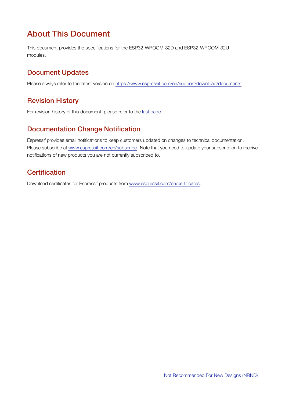## About This Document

This document provides the specifications for the ESP32-WROOM-32D and ESP32-WROOM-32U modules.

## Document Updates

Please always refer to the latest version on <https://www.espressif.com/en/support/download/documents>.

## Revision History

For revision history of this document, please refer to the [last page](#page-27-0).

## Documentation Change Notification

Espressif provides email notifications to keep customers updated on changes to technical documentation. Please subscribe at [www.espressif.com/en/subscribe.](http://espressif.com/en/subscribe) Note that you need to update your subscription to receive notifications of new products you are not currently subscribed to.

## **Certification**

Download certificates for Espressif products from [www.espressif.com/en/certificates](http://espressif.com/en/certificates).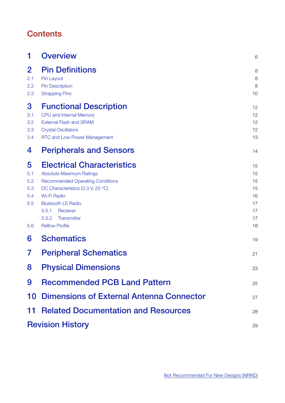## **Contents**

| 1                                           | <b>Overview</b>                                                                                                                                                                                                                                                        | 6                                                  |
|---------------------------------------------|------------------------------------------------------------------------------------------------------------------------------------------------------------------------------------------------------------------------------------------------------------------------|----------------------------------------------------|
| $\bf{2}$<br>2.1<br>2.2<br>2.3               | <b>Pin Definitions</b><br>Pin Layout<br><b>Pin Description</b><br><b>Strapping Pins</b>                                                                                                                                                                                | 8<br>8<br>8<br>10                                  |
| 3<br>3.1<br>3.2<br>3.3<br>3.4               | <b>Functional Description</b><br>CPU and Internal Memory<br><b>External Flash and SRAM</b><br><b>Crystal Oscillators</b><br>RTC and Low-Power Management                                                                                                               | 12<br>12<br>12<br>12<br>13                         |
| 4                                           | <b>Peripherals and Sensors</b>                                                                                                                                                                                                                                         | 14                                                 |
| 5<br>5.1<br>5.2<br>5.3<br>5.4<br>5.5<br>5.6 | <b>Electrical Characteristics</b><br><b>Absolute Maximum Ratings</b><br><b>Recommended Operating Conditions</b><br>DC Characteristics (3.3 V, 25 °C)<br>Wi-Fi Radio<br><b>Bluetooth LE Radio</b><br>5.5.1<br>Receiver<br>5.5.2<br>Transmitter<br><b>Reflow Profile</b> | 15<br>15<br>15<br>15<br>16<br>17<br>17<br>17<br>18 |
| 6                                           | <b>Schematics</b>                                                                                                                                                                                                                                                      | 19                                                 |
| 7                                           | <b>Peripheral Schematics</b>                                                                                                                                                                                                                                           | 21                                                 |
| 8                                           | <b>Physical Dimensions</b>                                                                                                                                                                                                                                             | 23                                                 |
| 9                                           | <b>Recommended PCB Land Pattern</b>                                                                                                                                                                                                                                    | 25                                                 |
|                                             | 10 Dimensions of External Antenna Connector                                                                                                                                                                                                                            | 27                                                 |
|                                             | <b>11 Related Documentation and Resources</b>                                                                                                                                                                                                                          | 28                                                 |
|                                             | <b>Revision History</b>                                                                                                                                                                                                                                                | 29                                                 |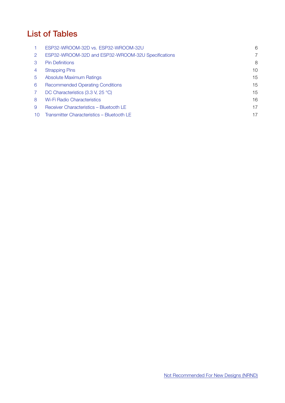## List of Tables

|    | ESP32-WROOM-32D vs. ESP32-WROOM-32U                | 6  |
|----|----------------------------------------------------|----|
| 2  | ESP32-WROOM-32D and ESP32-WROOM-32U Specifications | 7  |
| 3  | <b>Pin Definitions</b>                             | 8  |
| 4  | <b>Strapping Pins</b>                              | 10 |
| 5  | <b>Absolute Maximum Ratings</b>                    | 15 |
| 6  | <b>Recommended Operating Conditions</b>            | 15 |
|    | DC Characteristics (3.3 V, 25 °C)                  | 15 |
| 8  | <b>Wi-Fi Radio Characteristics</b>                 | 16 |
| 9  | Receiver Characteristics - Bluetooth LE            | 17 |
| 10 | Transmitter Characteristics - Bluetooth LE         | 17 |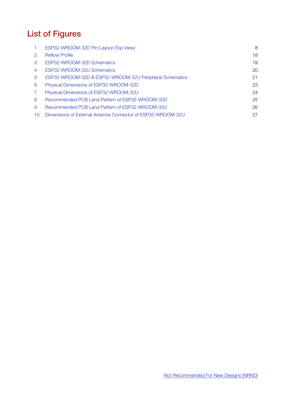# List of Figures

|    | ESP32-WROOM-32D Pin Layout (Top View)                       | 8  |
|----|-------------------------------------------------------------|----|
| 2  | <b>Reflow Profile</b>                                       | 18 |
| 3  | ESP32-WROOM-32D Schematics                                  | 19 |
| 4  | ESP32-WROOM-32U Schematics                                  | 20 |
| 5  | ESP32-WROOM-32D & ESP32-WROOM-32U Peripheral Schematics     | 21 |
| 6  | Physical Dimensions of ESP32-WROOM-32D                      | 23 |
|    | Physical Dimensions of ESP32-WROOM-32U                      | 24 |
| 8  | Recommended PCB Land Pattern of ESP32-WROOM-32D             | 25 |
| 9  | Recommended PCB Land Pattern of ESP32-WROOM-32U             | 26 |
| 10 | Dimensions of External Antenna Connector of ESP32-WROOM-32U | 27 |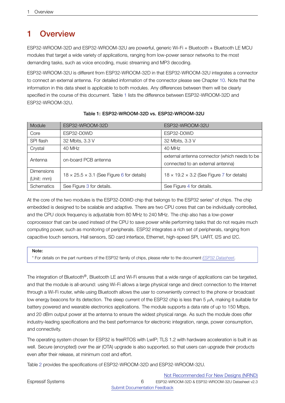## <span id="page-5-0"></span>1 Overview

ESP32-WROOM-32D and ESP32-WROOM-32U are powerful, generic Wi-Fi + Bluetooth + Bluetooth LE MCU modules that target a wide variety of applications, ranging from low-power sensor networks to the most demanding tasks, such as voice encoding, music streaming and MP3 decoding.

ESP32-WROOM-32U is different from ESP32-WROOM-32D in that ESP32-WROOM-32U integrates a connector to connect an external antenna. For detailed information of the connector please see Chapter [10.](#page-26-0) Note that the information in this data sheet is applicable to both modules. Any differences between them will be clearly specified in the course of this document. Table [1](#page-5-1) lists the difference between ESP32-WROOM-32D and ESP32-WROOM-32U.

<span id="page-5-1"></span>

| Module            | ESP32-WROOM-32D                                        | ESP32-WROOM-32U                                        |  |  |
|-------------------|--------------------------------------------------------|--------------------------------------------------------|--|--|
| Core              | ESP32-D0WD                                             | ESP32-D0WD                                             |  |  |
| SPI flash         | 32 Mbits, 3.3 V                                        | 32 Mbits, 3.3 V                                        |  |  |
| Crystal           | 40 MHz                                                 | 40 MHz                                                 |  |  |
| Antenna           | on-board PCB antenna                                   | external antenna connector (which needs to be          |  |  |
|                   |                                                        | connected to an external antenna)                      |  |  |
| <b>Dimensions</b> | $18 \times 25.5 \times 3.1$ (See Figure 6 for details) | $18 \times 19.2 \times 3.2$ (See Figure 7 for details) |  |  |
| (Unit: mm)        |                                                        |                                                        |  |  |
| <b>Schematics</b> | See Figure 3 for details.                              | See Figure 4 for details.                              |  |  |

## Table 1: ESP32-WROOM-32D vs. ESP32-WROOM-32U

At the core of the two modules is the ESP32-D0WD chip that belongs to the ESP32 series\* of chips. The chip embedded is designed to be scalable and adaptive. There are two CPU cores that can be individually controlled, and the CPU clock frequency is adjustable from 80 MHz to 240 MHz. The chip also has a low-power coprocessor that can be used instead of the CPU to save power while performing tasks that do not require much computing power, such as monitoring of peripherals. ESP32 integrates a rich set of peripherals, ranging from capacitive touch sensors, Hall sensors, SD card interface, Ethernet, high-speed SPI, UART, I2S and I2C.

## Note:

\* For details on the part numbers of the ESP32 family of chips, please refer to the document *[ESP32 Datasheet](http://espressif.com/sites/default/files/documentation/esp32_datasheet_en.pdf)*.

The integration of Bluetooth®, Bluetooth LE and Wi-Fi ensures that a wide range of applications can be targeted, and that the module is all-around: using Wi-Fi allows a large physical range and direct connection to the Internet through a Wi-Fi router, while using Bluetooth allows the user to conveniently connect to the phone or broadcast low energy beacons for its detection. The sleep current of the ESP32 chip is less than 5 *µ*A, making it suitable for battery powered and wearable electronics applications. The module supports a data rate of up to 150 Mbps, and 20 dBm output power at the antenna to ensure the widest physical range. As such the module does offer industry-leading specifications and the best performance for electronic integration, range, power consumption, and connectivity.

The operating system chosen for ESP32 is freeRTOS with LwIP; TLS 1.2 with hardware acceleration is built in as well. Secure (encrypted) over the air (OTA) upgrade is also supported, so that users can upgrade their products even after their release, at minimum cost and effort.

Table [2](#page-6-1) provides the specifications of ESP32-WROOM-32D and ESP32-WROOM-32U.

Not [Recommended](https://www.espressif.com/en/products/longevity-commitment?id=nrnd) For New Designs (NRND)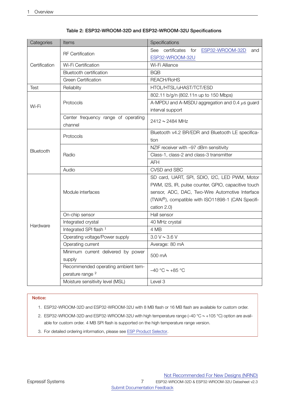<span id="page-6-1"></span>

| Categories    | Items                                          | Specifications                                                 |  |  |  |  |
|---------------|------------------------------------------------|----------------------------------------------------------------|--|--|--|--|
|               | <b>RF</b> Certification                        | See certificates<br>for<br>ESP32-WROOM-32D<br>and              |  |  |  |  |
|               |                                                | ESP32-WROOM-32U                                                |  |  |  |  |
| Certification | Wi-Fi Certification                            | Wi-Fi Alliance                                                 |  |  |  |  |
|               | <b>Bluetooth certification</b>                 | <b>BQB</b>                                                     |  |  |  |  |
|               | Green Certification                            | REACH/RoHS                                                     |  |  |  |  |
| Test          | Reliablity                                     | HTOL/HTSL/uHAST/TCT/ESD                                        |  |  |  |  |
|               |                                                | 802.11 b/g/n (802.11n up to 150 Mbps)                          |  |  |  |  |
| Wi-Fi         | Protocols                                      | A-MPDU and A-MSDU aggregation and 0.4 $\mu$ s guard            |  |  |  |  |
|               |                                                | interval support                                               |  |  |  |  |
|               | Center frequency range of operating<br>channel | 2412~2484 MHz                                                  |  |  |  |  |
|               |                                                | Bluetooth v4.2 BR/EDR and Bluetooth LE specifica-              |  |  |  |  |
|               | Protocols                                      | tion                                                           |  |  |  |  |
|               |                                                | NZIF receiver with -97 dBm sensitivity                         |  |  |  |  |
| Bluetooth     | Radio                                          | Class-1, class-2 and class-3 transmitter                       |  |  |  |  |
|               |                                                | AFH                                                            |  |  |  |  |
|               | Audio                                          | CVSD and SBC                                                   |  |  |  |  |
|               |                                                | SD card, UART, SPI, SDIO, I2C, LED PWM, Motor                  |  |  |  |  |
|               |                                                | PWM, I2S, IR, pulse counter, GPIO, capacitive touch            |  |  |  |  |
|               | Module interfaces                              | sensor, ADC, DAC, Two-Wire Automotive Interface                |  |  |  |  |
|               |                                                | (TWAI <sup>®</sup> ), compatible with ISO11898-1 (CAN Specifi- |  |  |  |  |
|               |                                                | cation 2.0)                                                    |  |  |  |  |
|               | On-chip sensor                                 | Hall sensor                                                    |  |  |  |  |
| Hardware      | Integrated crystal                             | 40 MHz crystal                                                 |  |  |  |  |
|               | Integrated SPI flash <sup>1</sup>              | 4 MB                                                           |  |  |  |  |
|               | Operating voltage/Power supply                 | 3.0 V ~ 3.6 V                                                  |  |  |  |  |
|               | Operating current                              | Average: 80 mA                                                 |  |  |  |  |
|               | Minimum current delivered by power             | 500 mA                                                         |  |  |  |  |
|               | supply                                         |                                                                |  |  |  |  |
|               | Recommended operating ambient tem-             | $-40$ °C $\sim +85$ °C                                         |  |  |  |  |
|               | perature range <sup>2</sup>                    |                                                                |  |  |  |  |
|               | Moisture sensitivity level (MSL)               | Level 3                                                        |  |  |  |  |

## Table 2: ESP32-WROOM-32D and ESP32-WROOM-32U Specifications

## Notice:

1. ESP32-WROOM-32D and ESP32-WROOM-32U with 8 MB flash or 16 MB flash are available for custom order.

- 2. ESP32-WROOM-32D and ESP32-WROOM-32U with high temperature range (–40 °C ~ +105 °C) option are available for custom order. 4 MB SPI flash is supported on the high temperature range version.
- <span id="page-6-0"></span>3. For detailed ordering information, please see ESP Product [Selector.](https://products.espressif.com/#/product-selector?language=en&names=)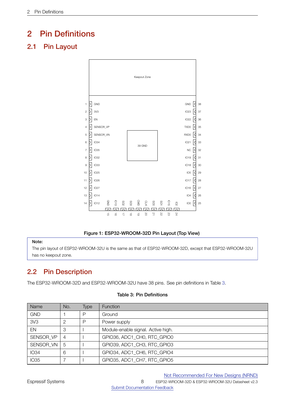## 2 Pin Definitions

## <span id="page-7-3"></span><span id="page-7-0"></span>2.1 Pin Layout



## Figure 1: ESP32-WROOM-32D Pin Layout (Top View)

## Note:

<span id="page-7-1"></span>The pin layout of ESP32-WROOM-32U is the same as that of ESP32-WROOM-32D, except that ESP32-WROOM-32U has no keepout zone.

## 2.2 Pin Description

<span id="page-7-2"></span>The ESP32-WROOM-32D and ESP32-WROOM-32U have 38 pins. See pin definitions in Table [3.](#page-7-2)

| Name            | No.            | Type | <b>Function</b>                    |
|-----------------|----------------|------|------------------------------------|
| <b>GND</b>      |                | P    | Ground                             |
| 3V <sub>3</sub> | $\mathcal{P}$  | P    | Power supply                       |
| EN              | 3              |      | Module-enable signal. Active high. |
| SENSOR VP       | $\overline{4}$ |      | GPIO36, ADC1 CH0, RTC GPIO0        |
| SENSOR VN       | 5              |      | GPIO39, ADC1 CH3, RTC GPIO3        |
| <b>IO34</b>     | 6              |      | GPIO34, ADC1 CH6, RTC GPIO4        |
| <b>IO35</b>     |                |      | GPIO35, ADC1_CH7, RTC_GPIO5        |

## Table 3: Pin Definitions

Not [Recommended](https://www.espressif.com/en/products/longevity-commitment?id=nrnd) For New Designs (NRND)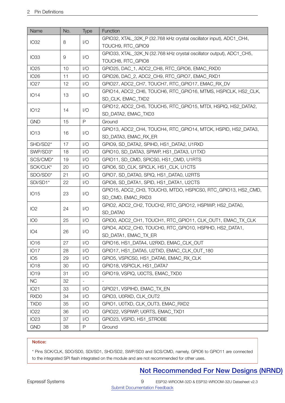| Name             | No. | Type                    | Function                                                             |
|------------------|-----|-------------------------|----------------------------------------------------------------------|
| <b>IO32</b>      | 8   | 1/O                     | GPIO32, XTAL_32K_P (32.768 kHz crystal oscillator input), ADC1_CH4,  |
|                  |     |                         | TOUCH9, RTC_GPIO9                                                    |
| <b>IO33</b>      |     | 1/O                     | GPIO33, XTAL_32K_N (32.768 kHz crystal oscillator output), ADC1_CH5, |
|                  | 9   |                         | TOUCH8, RTC_GPIO8                                                    |
| <b>IO25</b>      | 10  | 1/O                     | GPIO25, DAC_1, ADC2_CH8, RTC_GPIO6, EMAC_RXD0                        |
| <b>IO26</b>      | 11  | $\mathsf{I}/\mathsf{O}$ | GPIO26, DAC_2, ADC2_CH9, RTC_GPIO7, EMAC_RXD1                        |
| <b>IO27</b>      | 12  | 1/O                     | GPIO27, ADC2_CH7, TOUCH7, RTC_GPIO17, EMAC_RX_DV                     |
| <b>IO14</b>      | 13  | 1/O                     | GPIO14, ADC2_CH6, TOUCH6, RTC_GPIO16, MTMS, HSPICLK, HS2_CLK,        |
|                  |     |                         | SD_CLK, EMAC_TXD2                                                    |
| <b>IO12</b>      | 14  | 1/O                     | GPIO12, ADC2_CH5, TOUCH5, RTC_GPIO15, MTDI, HSPIQ, HS2_DATA2,        |
|                  |     |                         | SD_DATA2, EMAC_TXD3                                                  |
| <b>GND</b>       | 15  | $\mathsf{P}$            | Ground                                                               |
| <b>IO13</b>      | 16  | 1/O                     | GPIO13, ADC2 CH4, TOUCH4, RTC GPIO14, MTCK, HSPID, HS2 DATA3,        |
|                  |     |                         | SD_DATA3, EMAC_RX_ER                                                 |
| SHD/SD2*         | 17  | 1/O                     | GPIO9, SD DATA2, SPIHD, HS1 DATA2, U1RXD                             |
| SWP/SD3*         | 18  | 1/O                     | GPIO10, SD_DATA3, SPIWP, HS1_DATA3, U1TXD                            |
| SCS/CMD*         | 19  | 1/O                     | GPIO11, SD CMD, SPICS0, HS1 CMD, U1RTS                               |
| SCK/CLK*         | 20  | 1/O                     | GPIO6, SD_CLK, SPICLK, HS1_CLK, U1CTS                                |
| SDO/SD0*         | 21  | 1/O                     | GPIO7, SD_DATA0, SPIQ, HS1_DATA0, U2RTS                              |
| SDI/SD1*         | 22  | 1/O                     | GPIO8, SD_DATA1, SPID, HS1_DATA1, U2CTS                              |
| <b>IO15</b>      | 23  | 1/O                     | GPIO15, ADC2_CH3, TOUCH3, MTDO, HSPICS0, RTC_GPIO13, HS2_CMD,        |
|                  |     |                         | SD_CMD, EMAC_RXD3                                                    |
| IO <sub>2</sub>  | 24  | $\mathsf{I}/\mathsf{O}$ | GPIO2, ADC2_CH2, TOUCH2, RTC_GPIO12, HSPIWP, HS2_DATA0,              |
|                  |     |                         | SD DATA0                                                             |
| IO <sub>0</sub>  | 25  | 1/O                     | GPIO0, ADC2_CH1, TOUCH1, RTC_GPIO11, CLK_OUT1, EMAC_TX_CLK           |
| IO <sub>4</sub>  | 26  | 1/O                     | GPIO4, ADC2_CH0, TOUCH0, RTC_GPIO10, HSPIHD, HS2_DATA1,              |
|                  |     |                         | SD_DATA1, EMAC_TX_ER                                                 |
| <b>IO16</b>      | 27  | $\mathsf{I}/\mathsf{O}$ | GPIO16, HS1_DATA4, U2RXD, EMAC_CLK_OUT                               |
| <b>IO17</b>      | 28  | 1/O                     | GPIO17, HS1_DATA5, U2TXD, EMAC_CLK_OUT_180                           |
| IO <sub>5</sub>  | 29  | 1/O                     | GPIO5, VSPICS0, HS1 DATA6, EMAC RX CLK                               |
| <b>IO18</b>      | 30  | $\mathsf{I}/\mathsf{O}$ | GPIO18, VSPICLK, HS1_DATA7                                           |
| <b>IO19</b>      | 31  | $\mathsf{I}/\mathsf{O}$ | GPIO19, VSPIQ, U0CTS, EMAC_TXD0                                      |
| <b>NC</b>        | 32  |                         |                                                                      |
| <b>IO21</b>      | 33  | $\mathsf{I}/\mathsf{O}$ | GPIO21, VSPIHD, EMAC_TX_EN                                           |
| RXD <sub>0</sub> | 34  | 1/O                     | GPIO3, U0RXD, CLK_OUT2                                               |
| TXD <sub>0</sub> | 35  | 1/O                     | GPIO1, U0TXD, CLK_OUT3, EMAC_RXD2                                    |
| <b>IO22</b>      | 36  | 1/O                     | GPIO22, VSPIWP, U0RTS, EMAC_TXD1                                     |
| <b>IO23</b>      | 37  | 1/O                     | GPIO23, VSPID, HS1_STROBE                                            |
| <b>GND</b>       | 38  | P                       | Ground                                                               |

## Notice:

<span id="page-8-0"></span>\* Pins SCK/CLK, SDO/SD0, SDI/SD1, SHD/SD2, SWP/SD3 and SCS/CMD, namely, GPIO6 to GPIO11 are connected to the integrated SPI flash integrated on the module and are not recommended for other uses.

## Not [Recommended](https://www.espressif.com/en/products/longevity-commitment?id=nrnd) For New Designs (NRND)

ESP32-WROOM-32D & ESP32-WROOM-32U Datasheet v2.3

[Submit Documentation Feedback](https://www.espressif.com/en/company/contact/documentation_feedback?docId=4093§ions=&version=2.3 )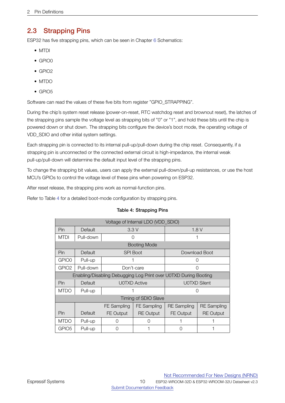## 2.3 Strapping Pins

ESP32 has five strapping pins, which can be seen in Chapter [6](#page-18-0) Schematics:

- MTDI
- GPIO0
- GPIO2
- MTDO
- GPIO5

Software can read the values of these five bits from register "GPIO\_STRAPPING".

During the chip's system reset release (power-on-reset, RTC watchdog reset and brownout reset), the latches of the strapping pins sample the voltage level as strapping bits of "0" or "1", and hold these bits until the chip is powered down or shut down. The strapping bits configure the device's boot mode, the operating voltage of VDD\_SDIO and other initial system settings.

Each strapping pin is connected to its internal pull-up/pull-down during the chip reset. Consequently, if a strapping pin is unconnected or the connected external circuit is high-impedance, the internal weak pull-up/pull-down will determine the default input level of the strapping pins.

To change the strapping bit values, users can apply the external pull-down/pull-up resistances, or use the host MCU's GPIOs to control the voltage level of these pins when powering on ESP32.

After reset release, the strapping pins work as normal-function pins.

<span id="page-9-0"></span>Refer to Table [4](#page-9-0) for a detailed boot-mode configuration by strapping pins.

## Table 4: Strapping Pins

| Voltage of Internal LDO (VDD_SDIO) |           |             |                      |                                                                  |                     |  |  |
|------------------------------------|-----------|-------------|----------------------|------------------------------------------------------------------|---------------------|--|--|
| Pin                                | Default   |             | 3.3V                 |                                                                  | 1.8V                |  |  |
| MTDI                               | Pull-down | ∩           |                      |                                                                  |                     |  |  |
|                                    |           |             | Booting Mode         |                                                                  |                     |  |  |
| Pin                                | Default   |             | <b>SPI Boot</b>      |                                                                  | Download Boot       |  |  |
| GPIO0                              | Pull-up   |             |                      |                                                                  |                     |  |  |
| GPIO2                              | Pull-down |             | Don't-care           | ∩                                                                |                     |  |  |
|                                    |           |             |                      | Enabling/Disabling Debugging Log Print over U0TXD During Booting |                     |  |  |
| Pin                                | Default   |             | <b>U0TXD Active</b>  |                                                                  | <b>U0TXD Silent</b> |  |  |
| <b>MTDO</b>                        | Pull-up   |             |                      |                                                                  |                     |  |  |
|                                    |           |             | Timing of SDIO Slave |                                                                  |                     |  |  |
|                                    |           | FE Sampling | <b>FE Sampling</b>   | <b>RE</b> Sampling                                               | <b>RE</b> Sampling  |  |  |
| Pin                                | Default   | FE Output   | <b>RE</b> Output     | FE Output                                                        | <b>RE</b> Output    |  |  |
| MTDO                               | Pull-up   | Ω           | 〔 〕                  |                                                                  |                     |  |  |
| GPIO <sub>5</sub>                  | Pull-up   | Ω           |                      | Ω                                                                |                     |  |  |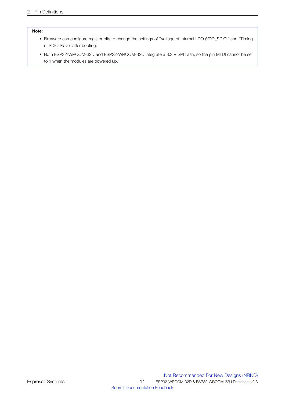## Note:

- Firmware can configure register bits to change the settings of "Voltage of Internal LDO (VDD\_SDIO)" and "Timing of SDIO Slave" after booting.
- Both ESP32-WROOM-32D and ESP32-WROOM-32U integrate a 3.3 V SPI flash, so the pin MTDI cannot be set to 1 when the modules are powered up.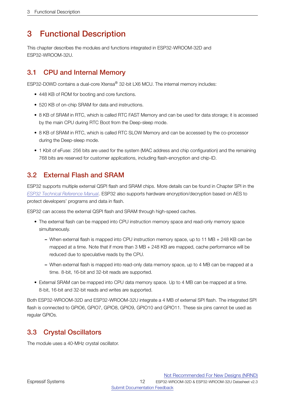## <span id="page-11-0"></span>3 Functional Description

This chapter describes the modules and functions integrated in ESP32-WROOM-32D and ESP32-WROOM-32U.

## <span id="page-11-1"></span>3.1 CPU and Internal Memory

ESP32-D0WD contains a dual-core Xtensa® 32-bit LX6 MCU. The internal memory includes:

- 448 KB of ROM for booting and core functions.
- 520 KB of on-chip SRAM for data and instructions.
- 8 KB of SRAM in RTC, which is called RTC FAST Memory and can be used for data storage; it is accessed by the main CPU during RTC Boot from the Deep-sleep mode.
- 8 KB of SRAM in RTC, which is called RTC SLOW Memory and can be accessed by the co-processor during the Deep-sleep mode.
- 1 Kbit of eFuse: 256 bits are used for the system (MAC address and chip configuration) and the remaining 768 bits are reserved for customer applications, including flash-encryption and chip-ID.

## <span id="page-11-2"></span>3.2 External Flash and SRAM

ESP32 supports multiple external QSPI flash and SRAM chips. More details can be found in Chapter SPI in the *[ESP32 Technical Reference Manual](http://espressif.com/sites/default/files/documentation/esp32_technical_reference_manual_en.pdf)*. ESP32 also supports hardware encryption/decryption based on AES to protect developers' programs and data in flash.

ESP32 can access the external QSPI flash and SRAM through high-speed caches.

- The external flash can be mapped into CPU instruction memory space and read-only memory space simultaneously.
	- When external flash is mapped into CPU instruction memory space, up to 11 MB + 248 KB can be mapped at a time. Note that if more than 3 MB + 248 KB are mapped, cache performance will be reduced due to speculative reads by the CPU.
	- When external flash is mapped into read-only data memory space, up to 4 MB can be mapped at a time. 8-bit, 16-bit and 32-bit reads are supported.
- External SRAM can be mapped into CPU data memory space. Up to 4 MB can be mapped at a time. 8-bit, 16-bit and 32-bit reads and writes are supported.

Both ESP32-WROOM-32D and ESP32-WROOM-32U integrate a 4 MB of external SPI flash. The integrated SPI flash is connected to GPIO6, GPIO7, GPIO8, GPIO9, GPIO10 and GPIO11. These six pins cannot be used as regular GPIOs.

## <span id="page-11-3"></span>3.3 Crystal Oscillators

<span id="page-11-4"></span>The module uses a 40-MHz crystal oscillator.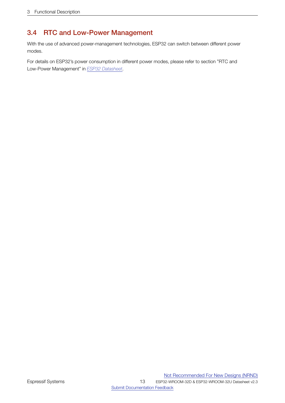## 3.4 RTC and Low-Power Management

With the use of advanced power-management technologies, ESP32 can switch between different power modes.

<span id="page-12-0"></span>For details on ESP32's power consumption in different power modes, please refer to section "RTC and Low-Power Management" in *[ESP32 Datasheet](http://espressif.com/sites/default/files/documentation/esp32_datasheet_en.pdf)*.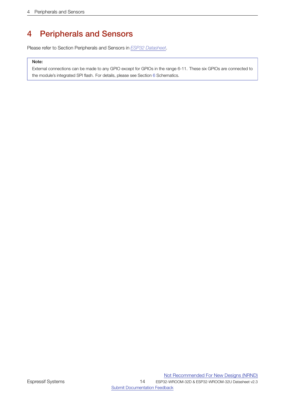# 4 Peripherals and Sensors

Please refer to Section Peripherals and Sensors in *[ESP32 Datasheet](http://espressif.com/sites/default/files/documentation/esp32_datasheet_en.pdf)*.

## Note:

<span id="page-13-0"></span>External connections can be made to any GPIO except for GPIOs in the range 6-11. These six GPIOs are connected to the module's integrated SPI flash. For details, please see Section [6](#page-18-0) Schematics.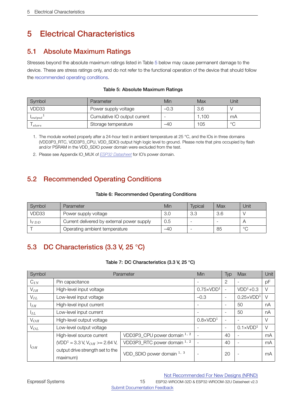# 5 Electrical Characteristics

## <span id="page-14-0"></span>5.1 Absolute Maximum Ratings

Stresses beyond the absolute maximum ratings listed in Table [5](#page-14-3) below may cause permanent damage to the device. These are stress ratings only, and do not refer to the functional operation of the device that should follow the [recommended operating conditions.](#page-14-4)

<span id="page-14-3"></span>

| Symbol       | Parameter                    | Min    | Max  | Unit         |
|--------------|------------------------------|--------|------|--------------|
| VDD33        | Power supply voltage         | $-0.3$ | 3.6  |              |
| $l_{output}$ | Cumulative IO output current |        | .100 | mA           |
| store        | Storage temperature          | $-40$  | 105  | $\circ$<br>╰ |

## Table 5: Absolute Maximum Ratings

1. The module worked properly after a 24-hour test in ambient temperature at 25 °C, and the IOs in three domains (VDD3P3\_RTC, VDD3P3\_CPU, VDD\_SDIO) output high logic level to ground. Please note that pins occupied by flash and/or PSRAM in the VDD\_SDIO power domain were excluded from the test.

<span id="page-14-1"></span>2. Please see Appendix IO\_MUX of *[ESP32 Datasheet](http://espressif.com/sites/default/files/documentation/esp32_datasheet_en.pdf)* for IO's power domain.

## <span id="page-14-4"></span>5.2 Recommended Operating Conditions

## Table 6: Recommended Operating Conditions

| Symbol | Parameter                                  | Min   | <b>Typical</b> | Max | Unit    |
|--------|--------------------------------------------|-------|----------------|-----|---------|
| VDD33  | Power supply voltage                       | 3.0   | -3.3           | 3.6 |         |
| VDD    | Current delivered by external power supply | 0.5   |                |     |         |
|        | Operating ambient temperature              | $-40$ |                | 85  | $\circ$ |

## <span id="page-14-5"></span><span id="page-14-2"></span>5.3 DC Characteristics (3.3 V, 25 °C)

## Table 7: DC Characteristics (3.3 V, 25 °C)

| Symbol          | Parameter                                             |                              |                          | Typ                      | Max                      | Unit   |
|-----------------|-------------------------------------------------------|------------------------------|--------------------------|--------------------------|--------------------------|--------|
| $C_{IN}$        | Pin capacitance                                       |                              | $\overline{\phantom{0}}$ | 2                        |                          | pF     |
| $V_{IH}$        | High-level input voltage                              |                              | $0.75 \times VDD1$       |                          | $VDD1+0.3$               | $\vee$ |
| $V_{IL}$        | Low-level input voltage                               |                              | $-0.3$                   | $\overline{\phantom{a}}$ | $0.25 \times VDD1$       | V      |
| I <sub>IH</sub> | High-level input current                              |                              |                          | $\overline{\phantom{a}}$ | 50                       | nA     |
| $I_{IL}$        | Low-level input current                               |                              | $\overline{\phantom{a}}$ | 50                       | nA                       |        |
| $V_{OH}$        | High-level output voltage                             |                              |                          | $\overline{\phantom{a}}$ |                          | $\vee$ |
| $V_{OL}$        | Low-level output voltage                              |                              |                          | $\overline{\phantom{a}}$ | $0.1 \times VDD1$        | $\vee$ |
|                 | High-level source current                             | VDD3P3_CPU power domain 1, 2 |                          | 40                       |                          | mA     |
| 1 <sub>OH</sub> | (VDD <sup>1</sup> = 3.3 V, V <sub>OH</sub> >= 2.64 V, | VDD3P3_RTC power domain 1, 2 |                          | 40                       | $\overline{\phantom{a}}$ | mA     |
|                 | output drive strength set to the<br>maximum)          | VDD_SDIO power domain 1, 3   |                          | 20                       |                          | mA     |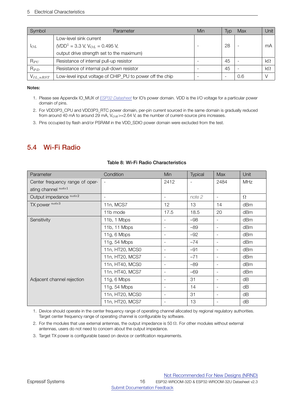| Symbol         | Parameter                                                | Min                      | Typ | Max | Unit      |
|----------------|----------------------------------------------------------|--------------------------|-----|-----|-----------|
|                | Low-level sink current                                   |                          |     |     |           |
| $1_{OL}$       | (VDD <sup>1</sup> = 3.3 V, V <sub>OL</sub> = 0.495 V,    | -                        | 28  |     | mA        |
|                | output drive strength set to the maximum)                |                          |     |     |           |
| $R_{PU}$       | Resistance of internal pull-up resistor                  |                          | 45  |     | $k\Omega$ |
| $R_{PD}$       | Resistance of internal pull-down resistor                |                          | 45  |     | $k\Omega$ |
| $V_{IL\_nRST}$ | Low-level input voltage of CHIP_PU to power off the chip | $\overline{\phantom{a}}$ |     | 0.6 |           |

## Notes:

- 1. Please see Appendix IO\_MUX of *[ESP32 Datasheet](http://espressif.com/sites/default/files/documentation/esp32_datasheet_en.pdf)* for IO's power domain. VDD is the I/O voltage for a particular power domain of pins.
- 2. For VDD3P3\_CPU and VDD3P3\_RTC power domain, per-pin current sourced in the same domain is gradually reduced from around 40 mA to around 29 mA, V<sub>OH</sub>>=2.64 V, as the number of current-source pins increases.
- <span id="page-15-0"></span>3. Pins occupied by flash and/or PSRAM in the VDD\_SDIO power domain were excluded from the test.

## <span id="page-15-1"></span>5.4 Wi-Fi Radio

| Parameter                       | Condition                | Min                      | <b>Typical</b>           | <b>Max</b>               | Unit     |
|---------------------------------|--------------------------|--------------------------|--------------------------|--------------------------|----------|
| Center frequency range of oper- | $\overline{\phantom{a}}$ | 2412                     | $\overline{\phantom{a}}$ | 2484                     | MHz      |
| ating channel note1             |                          |                          |                          |                          |          |
| Output impedance note2          | $\overline{\phantom{a}}$ | $\overline{\phantom{a}}$ | note 2                   | $\overline{\phantom{a}}$ | $\Omega$ |
| TX power note3                  | 11n, MCS7                | 12                       | 13                       | 14                       | dBm      |
|                                 | 11b mode                 | 17.5                     | 18.5                     | 20                       | dBm      |
| Sensitivity                     | 11b, 1 Mbps              | $\overline{\phantom{a}}$ | $-98$                    | $\overline{\phantom{a}}$ | dBm      |
|                                 | 11b, 11 Mbps             | $\overline{\phantom{a}}$ | $-89$                    | $\overline{\phantom{a}}$ | dBm      |
|                                 | 11g, 6 Mbps              | $\overline{\phantom{a}}$ | $-92$                    | $\overline{\phantom{a}}$ | dBm      |
|                                 | 11g, 54 Mbps             | $\overline{\phantom{a}}$ | $-74$                    | $\overline{\phantom{a}}$ | dBm      |
|                                 | 11n, HT20, MCS0          | $\overline{\phantom{a}}$ | $-91$                    | $\overline{\phantom{a}}$ | dBm      |
|                                 | 11n, HT20, MCS7          | $\overline{\phantom{a}}$ | $-71$                    | $\overline{\phantom{a}}$ | dBm      |
|                                 | 11n, HT40, MCS0          | $\overline{\phantom{a}}$ | $-89$                    | $\overline{\phantom{a}}$ | dBm      |
|                                 | 11n, HT40, MCS7          | $\overline{\phantom{a}}$ | $-69$                    | $\overline{\phantom{a}}$ | dBm      |
| Adjacent channel rejection      | 11g, 6 Mbps              | $\overline{\phantom{a}}$ | 31                       | $\overline{\phantom{a}}$ | dB       |
|                                 | 11g, 54 Mbps             | $\overline{\phantom{a}}$ | 14                       | $\overline{\phantom{a}}$ | dB       |
|                                 | 11n, HT20, MCS0          | $\sim$                   | 31                       | $\overline{\phantom{a}}$ | dB       |
|                                 | 11n, HT20, MCS7          | $\overline{\phantom{a}}$ | 13                       | $\overline{\phantom{a}}$ | dB       |

## Table 8: Wi-Fi Radio Characteristics

1. Device should operate in the center frequency range of operating channel allocated by regional regulatory authorities. Target center frequency range of operating channel is configurable by software.

- 2. For the modules that use external antennas, the output impedance is 50  $\Omega$ . For other modules without external antennas, users do not need to concern about the output impedance.
- 3. Target TX power is configurable based on device or certification requirements.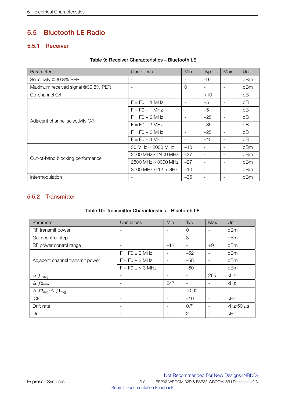## <span id="page-16-0"></span>5.5 Bluetooth LE Radio

## <span id="page-16-3"></span><span id="page-16-1"></span>5.5.1 Receiver

|  |  | Table 9: Receiver Characteristics - Bluetooth LE |  |
|--|--|--------------------------------------------------|--|
|--|--|--------------------------------------------------|--|

| Parameter                          | Conditions                 | Min                      | Typ                      | <b>Max</b>               | Unit |
|------------------------------------|----------------------------|--------------------------|--------------------------|--------------------------|------|
| Sensitivity @30.8% PER             |                            |                          | $-97$                    | $\overline{\phantom{a}}$ | dBm  |
| Maximum received signal @30.8% PER |                            | $\Omega$                 | $\overline{\phantom{a}}$ | $\overline{\phantom{a}}$ | dBm  |
| Co-channel C/I                     |                            |                          | $+10$                    | $\overline{\phantom{a}}$ | dB   |
|                                    | $F = F0 + 1$ MHz           |                          | $-5$                     | $\blacksquare$           | dB   |
|                                    | $F = F0 - 1$ MHz           |                          | $-5$                     | $\overline{\phantom{a}}$ | dB   |
| Adjacent channel selectivity C/I   | $F = F0 + 2 MHz$           |                          | $-25$                    | $\overline{\phantom{a}}$ | dB   |
|                                    | $F = FO - 2 MHz$           |                          | $-35$                    | $\overline{\phantom{0}}$ | dB   |
|                                    | $F = FO + 3 MHz$           | $\overline{\phantom{a}}$ | $-25$                    | $\overline{\phantom{a}}$ | dB   |
|                                    | $F = FO - 3 MHz$           | $\overline{\phantom{a}}$ | $-45$                    | $\overline{\phantom{a}}$ | dB   |
|                                    | 30 MHz ~ 2000 MHz          | $-10$                    | $\overline{\phantom{a}}$ | $\overline{\phantom{a}}$ | dBm  |
| Out-of-band blocking performance   | 2000 MHz $\sim$ 2400 MHz   | $-27$                    | ٠                        | $\overline{\phantom{a}}$ | dBm  |
|                                    | $2500$ MHz $\sim$ 3000 MHz | $-27$                    | $\overline{\phantom{a}}$ | $\overline{\phantom{a}}$ | dBm  |
|                                    | 3000 MHz $\sim$ 12.5 GHz   | $-10$                    | $\overline{\phantom{a}}$ |                          | dBm  |
| Intermodulation                    |                            | $-36$                    |                          |                          | dBm  |

## <span id="page-16-4"></span><span id="page-16-2"></span>5.5.2 Transmitter

## Table 10: Transmitter Characteristics – Bluetooth LE

| Parameter                                       | Conditions               | Min                      | Typ                      | Max                      | Unit                     |
|-------------------------------------------------|--------------------------|--------------------------|--------------------------|--------------------------|--------------------------|
| RF transmit power                               | $\overline{\phantom{a}}$ |                          | 0                        |                          | dBm                      |
| Gain control step                               | $\overline{\phantom{a}}$ | $\overline{\phantom{a}}$ | 3                        | $\overline{\phantom{a}}$ | dBm                      |
| RF power control range                          | $\overline{\phantom{a}}$ | $-12$                    | $\overline{\phantom{a}}$ | $+9$                     | dBm                      |
|                                                 | $F = F0 \pm 2$ MHz       |                          | $-52$                    | $\overline{\phantom{a}}$ | dBm                      |
| Adjacent channel transmit power                 | $F = F0 \pm 3$ MHz       |                          | $-58$                    |                          | dBm                      |
|                                                 | $F = F0 \pm 3$ MHz       | $\overline{\phantom{a}}$ | $-60$                    | $\overline{\phantom{a}}$ | dBm                      |
| $\Delta f1_{\text{avg}}$                        | $\overline{\phantom{a}}$ | $\overline{\phantom{a}}$ |                          | 265                      | kHz                      |
| $\Delta f2_{\text{max}}$                        | $\overline{\phantom{a}}$ | 247                      | $\overline{\phantom{a}}$ | $\overline{\phantom{a}}$ | kHz                      |
| $\Delta f2_{\text{avg}}/\Delta f1_{\text{avg}}$ | $\overline{\phantom{a}}$ | $\overline{\phantom{0}}$ | $-0.92$                  | $\overline{\phantom{a}}$ | $\overline{\phantom{a}}$ |
| <b>ICFT</b>                                     | $\overline{\phantom{a}}$ | $\overline{\phantom{a}}$ | $-10$                    | $\overline{\phantom{a}}$ | kHz                      |
| Drift rate                                      | $\overline{\phantom{a}}$ | $\overline{\phantom{a}}$ | 0.7                      | $\overline{\phantom{a}}$ | kHz/50 $\mu$ s           |
| Drift                                           | $\overline{\phantom{a}}$ |                          | 2                        |                          | kHz                      |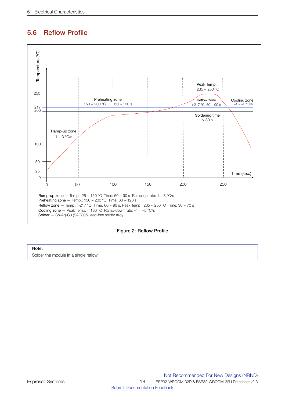## <span id="page-17-0"></span>5.6 Reflow Profile

<span id="page-17-1"></span>

Figure 2: Reflow Profile

## Note:

Solder the module in a single reflow.

Not [Recommended](https://www.espressif.com/en/products/longevity-commitment?id=nrnd) For New Designs (NRND)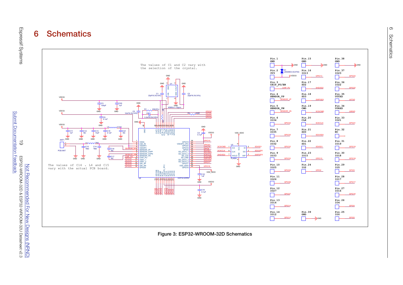## 6**Schematics**



<span id="page-18-1"></span><span id="page-18-0"></span>Figure 3: ESP32-WROOM-32D Schematics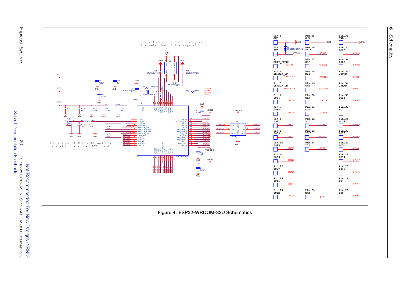



<span id="page-19-0"></span>A

**Designs** 

(NRND)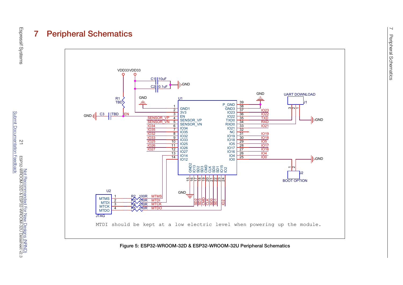# 555<br>555<br>555<br>555<br>555<br>555<br>555<br>55



<span id="page-20-1"></span><span id="page-20-0"></span>Figure 5: ESP32-WROOM-32D & ESP32-WROOM-32U Peripheral Schematics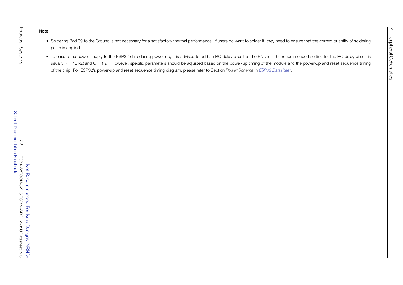Espressif Systems

Espressif Systems

- Soldering Pad <sup>39</sup> to the Ground is not necessary for <sup>a</sup> satisfactory thermal performance. If users do want to solder it, they need to ensure that the correct quantity of solderingpaste is applied.
- Note:<br>
 Soldering Pad 39 to the Ground is not necessary for a satisfactory thermal performance. If users do want to solder it, they need to ensure that the correct quantity of soldering<br>
paste is applied.<br>
 To ensure th • To ensure the power supply to the ESP32 chip during power-up, it is advised to add an RC delay circuit at the EN pin. The recommended setting for the RC delay circuit is usually R = 10 kΩ and C = 1  $\mu$ F. However, specific parameters should be adjusted based on the power-up timing of the module and the power-up and reset sequence timing of the chip. For ESP32's power-up and reset sequence timing diagram, please refer to Section *Power Scheme* in *ESP32 [Datasheet](http://espressif.com/sites/default/files/documentation/esp32_datasheet_en.pdf)*.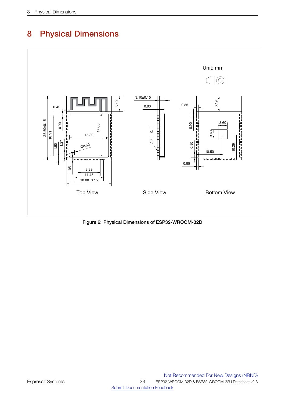<span id="page-22-0"></span>

<span id="page-22-1"></span>

Figure 6: Physical Dimensions of ESP32-WROOM-32D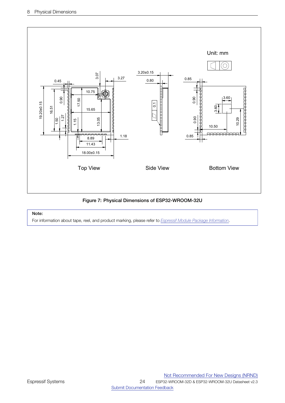<span id="page-23-1"></span>

Figure 7: Physical Dimensions of ESP32-WROOM-32U

## Note:

<span id="page-23-0"></span>For information about tape, reel, and product marking, please refer to *[Espressif Module Package Information](https://www.espressif.com/sites/default/files/documentation/Espressif_Module_Packing_Information_EN.pdf)*.

ESP32-WROOM-32D & ESP32-WROOM-32U Datasheet v2.3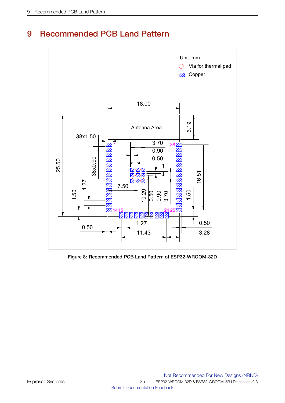<span id="page-24-0"></span>

## 9 Recommended PCB Land Pattern

Figure 8: Recommended PCB Land Pattern of ESP32-WROOM-32D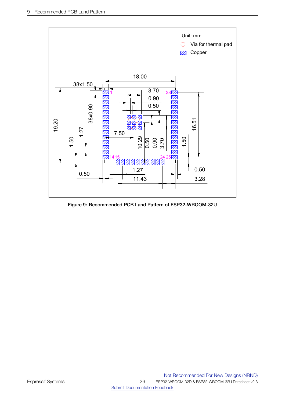<span id="page-25-0"></span>

Figure 9: Recommended PCB Land Pattern of ESP32-WROOM-32U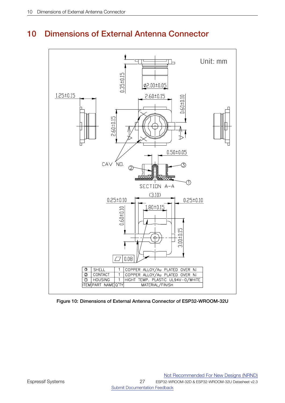## <span id="page-26-1"></span><span id="page-26-0"></span>10 Dimensions of External Antenna Connector



Figure 10: Dimensions of External Antenna Connector of ESP32-WROOM-32U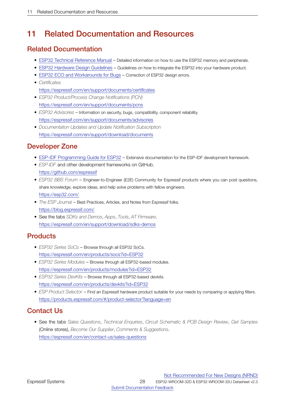## <span id="page-27-0"></span>11 Related Documentation and Resources

## Related Documentation

- ESP32 Technical [Reference](https://espressif.com/sites/default/files/documentation/esp32_technical_reference_manual_en.pdf) Manual Detailed information on how to use the ESP32 memory and peripherals.
- ESP32 Hardware Design [Guidelines](https://espressif.com/sites/default/files/documentation/esp32_hardware_design_guidelines_en.pdf) Guidelines on how to integrate the ESP32 into your hardware product.
- ESP32 ECO and [Workarounds](https://espressif.com/sites/default/files/documentation/eco_and_workarounds_for_bugs_in_esp32_en.pdf) for Bugs Correction of ESP32 design errors.
- *Certificates* <https://espressif.com/en/support/documents/certificates>
- *ESP32 Product/Process Change Notifications (PCN)* <https://espressif.com/en/support/documents/pcns>
- *ESP32 Advisories* Information on security, bugs, compatibility, component reliability. <https://espressif.com/en/support/documents/advisories>
- *Documentation Updates and Update Notification Subscription* <https://espressif.com/en/support/download/documents>

## Developer Zone

- ESP-IDF [Programming](https://docs.espressif.com/projects/esp-idf/en/latest/esp32/get-started/index.html) Guide for ESP32 Extensive documentation for the ESP-IDF development framework.
- *ESP-IDF* and other development frameworks on GitHub. <https://github.com/espressif>
- *ESP32 BBS Forum* Engineer-to-Engineer (E2E) Community for Espressif products where you can post questions, share knowledge, explore ideas, and help solve problems with fellow engineers. <https://esp32.com/>
- *The ESP Journal* Best Practices, Articles, and Notes from Espressif folks. <https://blog.espressif.com/>
- See the tabs *SDKs and Demos*, *Apps*, *Tools*, *AT Firmware*. <https://espressif.com/en/support/download/sdks-demos>

## **Products**

- *ESP32 Series SoCs* Browse through all ESP32 SoCs. <https://espressif.com/en/products/socs?id=ESP32>
- *ESP32 Series Modules* Browse through all ESP32-based modules. <https://espressif.com/en/products/modules?id=ESP32>
- *ESP32 Series DevKits* Browse through all ESP32-based devkits. <https://espressif.com/en/products/devkits?id=ESP32>
- *ESP Product Selector* Find an Espressif hardware product suitable for your needs by comparing or applying filters. <https://products.espressif.com/#/product-selector?language=en>

## Contact Us

• See the tabs *Sales Questions*, *Technical Enquiries*, *Circuit Schematic & PCB Design Review*, *Get Samples* (Online stores), *Become Our Supplier*, *Comments & Suggestions*. <https://espressif.com/en/contact-us/sales-questions>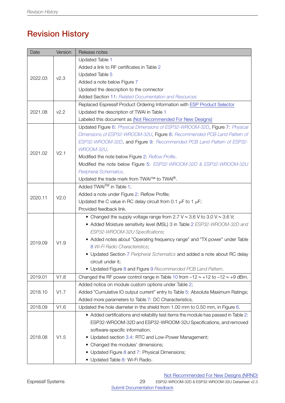# Revision History

| Date    | Version          | Release notes                                                                            |
|---------|------------------|------------------------------------------------------------------------------------------|
|         |                  | <b>Updated Table 1</b>                                                                   |
| 2022.03 |                  | Added a link to RF certificates in Table 2                                               |
|         |                  | Updated Table 5                                                                          |
|         | V <sub>2.3</sub> | Added a note below Figure 7                                                              |
|         |                  | Updated the description to the connector                                                 |
|         |                  | <b>Added Section 11: Related Documentation and Resources</b>                             |
|         |                  | Replaced Espressif Product Ordering Information with ESP Product Selector                |
| 2021.08 | V <sub>2.2</sub> | Updated the description of TWAI in Table 1                                               |
|         |                  | Labeled this document as (Not Recommended For New Designs)                               |
|         |                  | Updated Figure 6: Physical Dimensions of ESP32-WROOM-32D, Figure 7: Physical             |
|         |                  | Dimensions of ESP32-WROOM-32U, Figure 8: Recommended PCB Land Pattern of                 |
|         |                  | ESP32-WROOM-32D, and Figure 9: Recommended PCB Land Pattern of ESP32-                    |
|         | V2.1             | WROOM-32U.                                                                               |
| 2021.02 |                  | Modified the note below Figure 2: Reflow Profile.                                        |
|         |                  | Modified the note below Figure 5: ESP32-WROOM-32D & ESP32-WROOM-32U                      |
|         |                  | Peripheral Schematics.                                                                   |
|         |                  | Updated the trade mark from TWAI™ to TWAI®.                                              |
|         |                  | Added TWAI <sup>™</sup> in Table 1;                                                      |
| 2020.11 | V2.0             | Added a note under Figure 2: Reflow Profile;                                             |
|         |                  | Updated the C value in RC delay circuit from 0.1 $\mu$ F to 1 $\mu$ F;                   |
|         |                  | Provided feedback link.                                                                  |
|         |                  | • Changed the supply voltage range from 2.7 V $\sim$ 3.6 V to 3.0 V $\sim$ 3.6 V;        |
|         |                  | • Added Moisture sensitivity level (MSL) 3 in Table 2 ESP32-WROOM-32D and                |
|         |                  | ESP32-WROOM-32U Specifications;                                                          |
| 2019.09 | V1.9             | • Added notes about "Operating frequency range" and "TX power" under Table               |
|         |                  | 8 Wi-Fi Radio Characteristics;                                                           |
|         |                  | • Updated Section 7 Peripheral Schematics and added a note about RC delay                |
|         |                  | circuit under it;                                                                        |
|         |                  | • Updated Figure 8 and Figure 9 Recommended PCB Land Pattern.                            |
| 2019.01 | V1.8             | Changed the RF power control range in Table 10 from $-12 \sim +12$ to $-12 \sim +9$ dBm. |
|         | V1.7             | Added notice on module custom options under Table 2;                                     |
| 2018.10 |                  | Added "Cumulative IO output current" entry to Table 5: Absolute Maximum Ratings;         |
|         |                  | Added more parameters to Table 7: DC Characteristics.                                    |
| 2018.09 | V1.6             | Updated the hole diameter in the shield from 1.00 mm to 0.50 mm, in Figure 6.            |
| 2018.08 |                  | • Added certifications and reliability test items the module has passed in Table 2:      |
|         |                  | ESP32-WROOM-32D and ESP32-WROOM-32U Specifications, and removed                          |
|         |                  | software-specific information;                                                           |
|         | V1.5             | • Updated section 3.4: RTC and Low-Power Management;                                     |
|         |                  | Changed the modules' dimensions;                                                         |
|         |                  | Updated Figure 8 and 7: Physical Dimensions;                                             |
|         |                  | • Updated Table 8: Wi-Fi Radio.                                                          |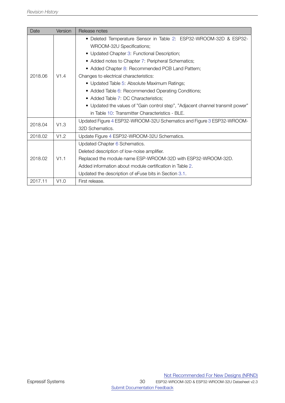| Date            | Version         | Release notes                                                                  |  |  |
|-----------------|-----------------|--------------------------------------------------------------------------------|--|--|
|                 |                 | • Deleted Temperature Sensor in Table 2: ESP32-WROOM-32D & ESP32-              |  |  |
|                 |                 | WROOM-32U Specifications;                                                      |  |  |
|                 |                 | • Updated Chapter 3: Functional Description;                                   |  |  |
|                 |                 | • Added notes to Chapter 7: Peripheral Schematics;                             |  |  |
|                 |                 | • Added Chapter 8: Recommended PCB Land Pattern;                               |  |  |
| 2018.06         | V1.4            | Changes to electrical characteristics:                                         |  |  |
|                 |                 | • Updated Table 5: Absolute Maximum Ratings;                                   |  |  |
|                 |                 | • Added Table 6: Recommended Operating Conditions;                             |  |  |
|                 |                 | • Added Table 7: DC Characteristics;                                           |  |  |
|                 |                 | • Updated the values of "Gain control step", "Adjacent channel transmit power" |  |  |
|                 |                 | in Table 10: Transmitter Characteristics - BLE.                                |  |  |
| 2018.04<br>V1.3 |                 | Updated Figure 4 ESP32-WROOM-32U Schematics and Figure 3 ESP32-WROOM-          |  |  |
|                 | 32D Schematics. |                                                                                |  |  |
| 2018.02         | V1.2            | Update Figure 4 ESP32-WROOM-32U Schematics.                                    |  |  |
| 2018.02         | V1.1            | Updated Chapter 6 Schematics.                                                  |  |  |
|                 |                 | Deleted description of low-noise amplifier.                                    |  |  |
|                 |                 | Replaced the module name ESP-WROOM-32D with ESP32-WROOM-32D.                   |  |  |
|                 |                 | Added information about module certification in Table 2.                       |  |  |
|                 |                 | Updated the description of eFuse bits in Section 3.1.                          |  |  |
| 2017.11         | V1.0            | First release.                                                                 |  |  |